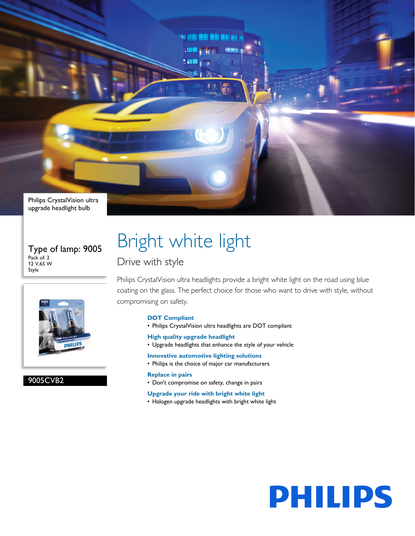Philips CrystalVision ultra upgrade headlight bulb

Type of lamp: 9005 Pack of: 2 12 V,65 W Style



9005CVB2

# Bright white light

## Drive with style

Philips CrystalVision ultra headlights provide a bright white light on the road using blue coating on the glass. The perfect choice for those who want to drive with style, without compromising on safety.

## **DOT Compliant**

- Philips CrystalVision ultra headlights are DOT compliant
- **High quality upgrade headlight**
- Upgrade headlights that enhance the style of your vehicle
- **Innovative automotive lighting solutions**
- Philips is the choice of major car manufacturers

## **Replace in pairs**

- Don't compromise on safety, change in pairs
- **Upgrade your ride with bright white light**
- Halogen upgrade headlights with bright white light